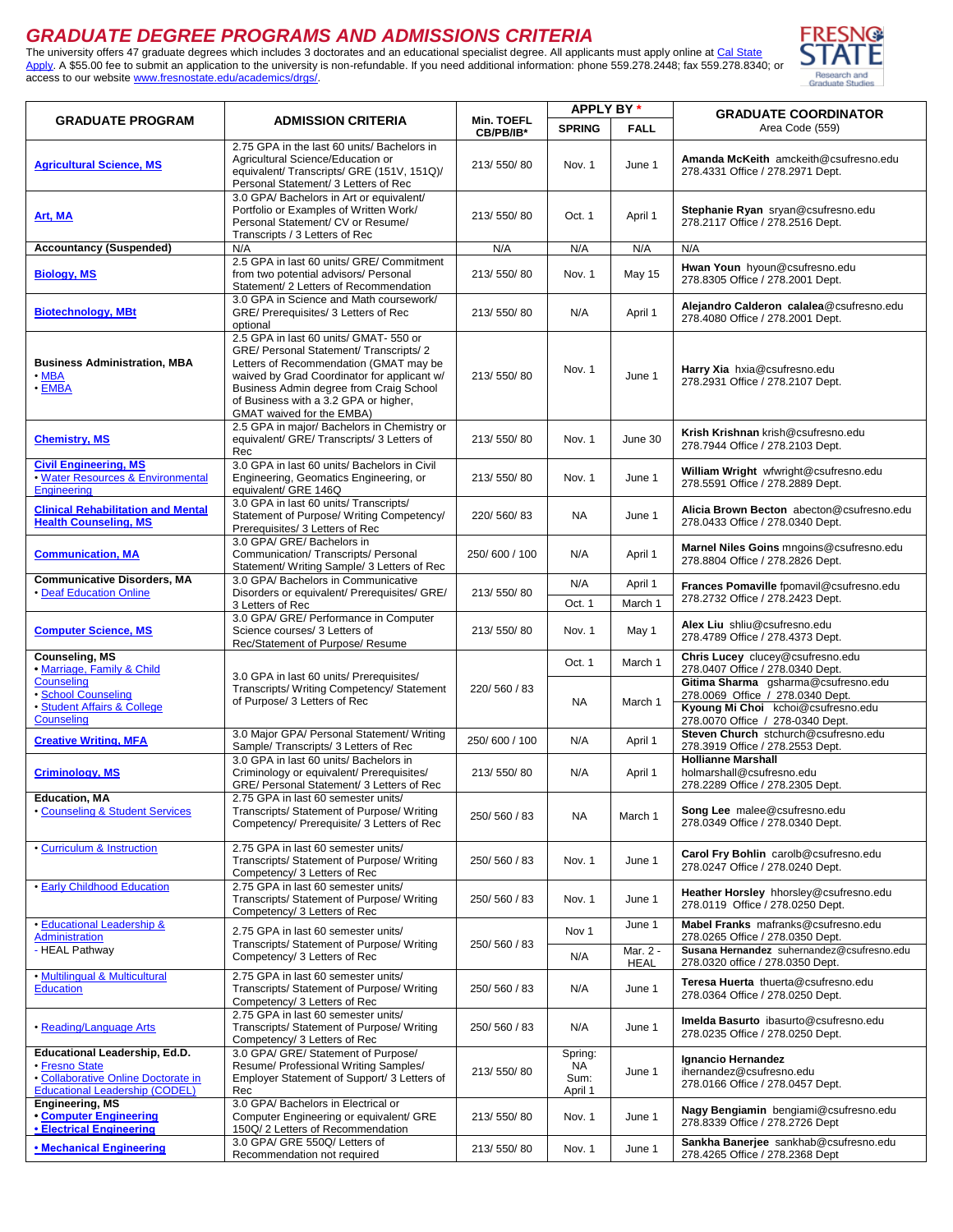## *GRADUATE DEGREE PROGRAMS AND ADMISSIONS CRITERIA*

The university offers 47 graduate degrees which includes 3 doctorates and an educational specialist degree. All applicants must apply online at Cal State [Apply.](http://www2.calstate.edu/apply) A \$55.00 fee to submit an application to the university is non-refundable. If you need additional information: phone 559.278.2448; fax 559.278.8340; or access to our website [www.fresnostate.edu/academics/drgs/.](http://www.fresnostate.edu/drgs)



|                                                                                                                                 |                                                                                                                                                                                                                                                                                             |               | APPLY BY*                         |                         | <b>GRADUATE COORDINATOR</b>                                                                                                                       |
|---------------------------------------------------------------------------------------------------------------------------------|---------------------------------------------------------------------------------------------------------------------------------------------------------------------------------------------------------------------------------------------------------------------------------------------|---------------|-----------------------------------|-------------------------|---------------------------------------------------------------------------------------------------------------------------------------------------|
| <b>GRADUATE PROGRAM</b>                                                                                                         | <b>ADMISSION CRITERIA</b>                                                                                                                                                                                                                                                                   | Min. TOEFL    | <b>SPRING</b>                     | <b>FALL</b>             | Area Code (559)                                                                                                                                   |
|                                                                                                                                 |                                                                                                                                                                                                                                                                                             | CB/PB/IB*     |                                   |                         |                                                                                                                                                   |
| <b>Agricultural Science, MS</b>                                                                                                 | 2.75 GPA in the last 60 units/ Bachelors in<br>Agricultural Science/Education or<br>equivalent/ Transcripts/ GRE (151V, 151Q)/<br>Personal Statement/ 3 Letters of Rec                                                                                                                      | 213/550/80    | Nov. 1                            | June 1                  | Amanda McKeith amckeith@csufresno.edu<br>278.4331 Office / 278.2971 Dept.                                                                         |
| Art, MA                                                                                                                         | 3.0 GPA/Bachelors in Art or equivalent/<br>Portfolio or Examples of Written Work/<br>Personal Statement/ CV or Resume/<br>Transcripts / 3 Letters of Rec                                                                                                                                    | 213/550/80    | Oct. 1                            | April 1                 | Stephanie Ryan sryan@csufresno.edu<br>278.2117 Office / 278.2516 Dept.                                                                            |
| <b>Accountancy (Suspended)</b>                                                                                                  | N/A                                                                                                                                                                                                                                                                                         | N/A           | N/A                               | N/A                     | N/A                                                                                                                                               |
| <b>Biology, MS</b>                                                                                                              | 2.5 GPA in last 60 units/ GRE/ Commitment<br>from two potential advisors/ Personal<br>Statement/ 2 Letters of Recommendation                                                                                                                                                                | 213/550/80    | Nov. 1                            | <b>May 15</b>           | Hwan Youn hyoun@csufresno.edu<br>278.8305 Office / 278.2001 Dept.                                                                                 |
| <b>Biotechnology, MBt</b>                                                                                                       | 3.0 GPA in Science and Math coursework/<br>GRE/ Prerequisites/ 3 Letters of Rec<br>optional                                                                                                                                                                                                 | 213/550/80    | N/A                               | April 1                 | Alejandro Calderon calalea@csufresno.edu<br>278.4080 Office / 278.2001 Dept.                                                                      |
| <b>Business Administration, MBA</b><br>$\cdot$ MBA<br>$\cdot$ EMBA                                                              | 2.5 GPA in last 60 units/ GMAT- 550 or<br>GRE/ Personal Statement/ Transcripts/ 2<br>Letters of Recommendation (GMAT may be<br>waived by Grad Coordinator for applicant w/<br>Business Admin degree from Craig School<br>of Business with a 3.2 GPA or higher,<br>GMAT waived for the EMBA) | 213/550/80    | Nov. 1                            | June 1                  | Harry Xia hxia@csufresno.edu<br>278.2931 Office / 278.2107 Dept.                                                                                  |
| <b>Chemistry, MS</b>                                                                                                            | 2.5 GPA in major/ Bachelors in Chemistry or<br>equivalent/ GRE/ Transcripts/ 3 Letters of<br>Rec                                                                                                                                                                                            | 213/550/80    | Nov. 1                            | June 30                 | Krish Krishnan krish@csufresno.edu<br>278.7944 Office / 278.2103 Dept.                                                                            |
| <b>Civil Engineering, MS</b><br>· Water Resources & Environmental<br>Engineering                                                | 3.0 GPA in last 60 units/ Bachelors in Civil<br>Engineering, Geomatics Engineering, or<br>equivalent/ GRE 146Q                                                                                                                                                                              | 213/550/80    | Nov. 1                            | June 1                  | William Wright wfwright@csufresno.edu<br>278.5591 Office / 278.2889 Dept.                                                                         |
| <b>Clinical Rehabilitation and Mental</b><br><b>Health Counseling, MS</b>                                                       | 3.0 GPA in last 60 units/ Transcripts/<br>Statement of Purpose/ Writing Competency/<br>Prerequisites/ 3 Letters of Rec                                                                                                                                                                      | 220/560/83    | NA                                | June 1                  | Alicia Brown Becton abecton@csufresno.edu<br>278.0433 Office / 278.0340 Dept.                                                                     |
| <b>Communication, MA</b>                                                                                                        | 3.0 GPA/ GRE/ Bachelors in<br>Communication/ Transcripts/ Personal<br>Statement/ Writing Sample/ 3 Letters of Rec                                                                                                                                                                           | 250/600 / 100 | N/A                               | April 1                 | Marnel Niles Goins mngoins@csufresno.edu<br>278.8804 Office / 278.2826 Dept.                                                                      |
| <b>Communicative Disorders, MA</b>                                                                                              | 3.0 GPA/ Bachelors in Communicative                                                                                                                                                                                                                                                         |               | N/A                               | April 1                 | Frances Pomaville fpomavil@csufresno.edu                                                                                                          |
| • Deaf Education Online                                                                                                         | Disorders or equivalent/ Prerequisites/ GRE/                                                                                                                                                                                                                                                | 213/550/80    |                                   |                         | 278.2732 Office / 278.2423 Dept.                                                                                                                  |
|                                                                                                                                 | 3 Letters of Rec<br>3.0 GPA/ GRE/ Performance in Computer                                                                                                                                                                                                                                   |               | Oct. 1                            | March 1                 |                                                                                                                                                   |
| <b>Computer Science, MS</b>                                                                                                     | Science courses/ 3 Letters of<br>Rec/Statement of Purpose/ Resume                                                                                                                                                                                                                           | 213/550/80    | Nov. 1                            | May 1                   | Alex Liu shliu@csufresno.edu<br>278.4789 Office / 278.4373 Dept.                                                                                  |
| <b>Counseling, MS</b><br>· Marriage, Family & Child<br>Counseling                                                               | 3.0 GPA in last 60 units/ Prerequisites/                                                                                                                                                                                                                                                    |               | Oct. 1                            | March 1                 | Chris Lucey clucey@csufresno.edu<br>278.0407 Office / 278.0340 Dept.                                                                              |
| · School Counseling<br>· Student Affairs & College<br>Counseling                                                                | Transcripts/ Writing Competency/ Statement<br>of Purpose/ 3 Letters of Rec                                                                                                                                                                                                                  | 220/560/83    | NA                                | March 1                 | Gitima Sharma gsharma@csufresno.edu<br>278.0069 Office / 278.0340 Dept.<br>Kyoung Mi Choi kchoi@csufresno.edu<br>278.0070 Office / 278-0340 Dept. |
| <b>Creative Writing, MFA</b>                                                                                                    | 3.0 Major GPA/ Personal Statement/ Writing<br>Sample/ Transcripts/ 3 Letters of Rec                                                                                                                                                                                                         | 250/600 / 100 | N/A                               | April 1                 | Steven Church stchurch@csufresno.edu<br>278.3919 Office / 278.2553 Dept.                                                                          |
| <b>Criminology, MS</b>                                                                                                          | 3.0 GPA in last 60 units/ Bachelors in<br>Criminology or equivalent/ Prerequisites/<br>GRE/ Personal Statement/ 3 Letters of Rec                                                                                                                                                            | 213/550/80    | N/A                               | April 1                 | <b>Hollianne Marshall</b><br>holmarshall@csufresno.edu<br>278.2289 Office / 278.2305 Dept.                                                        |
| <b>Education, MA</b><br>• Counseling & Student Services                                                                         | 2.75 GPA in last 60 semester units/<br>Transcripts/ Statement of Purpose/ Writing<br>Competency/ Prerequisite/ 3 Letters of Rec                                                                                                                                                             | 250/560/83    | NA                                | March 1                 | Song Lee malee@csufresno.edu<br>278.0349 Office / 278.0340 Dept.                                                                                  |
| • Curriculum & Instruction                                                                                                      | 2.75 GPA in last 60 semester units/<br>Transcripts/ Statement of Purpose/ Writing<br>Competency/ 3 Letters of Rec                                                                                                                                                                           | 250/560/83    | Nov. 1                            | June 1                  | Carol Fry Bohlin carolb@csufresno.edu<br>278.0247 Office / 278.0240 Dept.                                                                         |
| <b>• Early Childhood Education</b>                                                                                              | 2.75 GPA in last 60 semester units/<br>Transcripts/ Statement of Purpose/ Writing<br>Competency/ 3 Letters of Rec                                                                                                                                                                           | 250/560/83    | Nov. 1                            | June 1                  | Heather Horsley hhorsley@csufresno.edu<br>278.0119 Office / 278.0250 Dept.                                                                        |
| • Educational Leadership &<br>Administration                                                                                    | 2.75 GPA in last 60 semester units/<br>Transcripts/ Statement of Purpose/ Writing                                                                                                                                                                                                           | 250/560/83    | Nov 1                             | June 1                  | Mabel Franks mafranks@csufresno.edu<br>278.0265 Office / 278.0350 Dept.                                                                           |
| - HEAL Pathway                                                                                                                  | Competency/ 3 Letters of Rec                                                                                                                                                                                                                                                                |               | N/A                               | Mar. 2 -<br><b>HEAL</b> | Susana Hernandez suhernandez@csufresno.edu<br>278.0320 office / 278.0350 Dept.                                                                    |
| • Multilingual & Multicultural<br><b>Education</b>                                                                              | 2.75 GPA in last 60 semester units/<br>Transcripts/ Statement of Purpose/ Writing<br>Competency/ 3 Letters of Rec                                                                                                                                                                           | 250/560/83    | N/A                               | June 1                  | Teresa Huerta thuerta@csufresno.edu<br>278.0364 Office / 278.0250 Dept.                                                                           |
| • Reading/Language Arts                                                                                                         | 2.75 GPA in last 60 semester units/<br>Transcripts/ Statement of Purpose/ Writing<br>Competency/ 3 Letters of Rec                                                                                                                                                                           | 250/560/83    | N/A                               | June 1                  | Imelda Basurto ibasurto@csufresno.edu<br>278.0235 Office / 278.0250 Dept.                                                                         |
| Educational Leadership, Ed.D.<br>• Fresno State<br>• Collaborative Online Doctorate in<br><b>Educational Leadership (CODEL)</b> | 3.0 GPA/ GRE/ Statement of Purpose/<br>Resume/ Professional Writing Samples/<br>Employer Statement of Support/ 3 Letters of<br>Rec                                                                                                                                                          | 213/550/80    | Spring:<br>NA.<br>Sum:<br>April 1 | June 1                  | Ignancio Hernandez<br>ihernandez@csufresno.edu<br>278.0166 Office / 278.0457 Dept.                                                                |
| Engineering, MS<br>• Computer Engineering<br><b>• Electrical Engineering</b>                                                    | 3.0 GPA/ Bachelors in Electrical or<br>Computer Engineering or equivalent/ GRE<br>150Q/ 2 Letters of Recommendation                                                                                                                                                                         | 213/550/80    | Nov. 1                            | June 1                  | Nagy Bengiamin bengiami@csufresno.edu<br>278.8339 Office / 278.2726 Dept                                                                          |
| • Mechanical Engineering                                                                                                        | 3.0 GPA/ GRE 550Q/ Letters of<br>Recommendation not required                                                                                                                                                                                                                                | 213/550/80    | Nov. 1                            | June 1                  | Sankha Banerjee sankhab@csufresno.edu<br>278.4265 Office / 278.2368 Dept                                                                          |